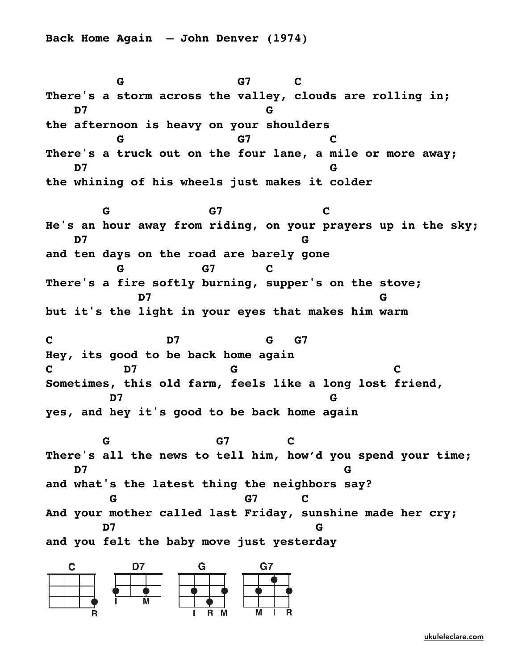**Back Home Again — John Denver (1974)**

**G** G7 C **There's a storm across the valley, clouds are rolling in; D7 G the afternoon is heavy on your shoulders G** G7 C **There's a truck out on the four lane, a mile or more away; D7 G the whining of his wheels just makes it colder G** G7 C **He's an hour away from riding, on your prayers up in the sky; D7 G and ten days on the road are barely gone G G7 C There's a fire softly burning, supper's on the stove; D7 G but it's the light in your eyes that makes him warm C D7 G G7 Hey, its good to be back home again C D7 G C Sometimes, this old farm, feels like a long lost friend, D7 G yes, and hey it's good to be back home again G** G7 C **There's all the news to tell him, how'd you spend your time; D7 G and what's the latest thing the neighbors say? G** G7 C **And your mother called last Friday, sunshine made her cry; D7 G and you felt the baby move just yesterday**